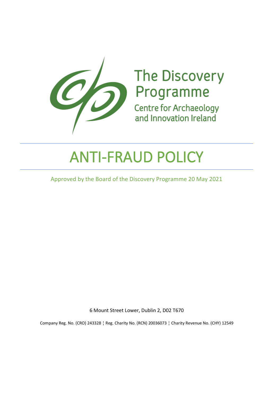

# The Discovery<br>Programme<br>Centre for Archaeology

**Centre for Archaeology** and Innovation Ireland

# ANTI-FRAUD POLICY

Approved by the Board of the Discovery Programme 20 May 2021

6 Mount Street Lower, Dublin 2, D02 T670

Company Reg. No. (CRO) 243328 ¦ Reg. Charity No. (RCN) 20036073 ¦ Charity Revenue No. (CHY) 12549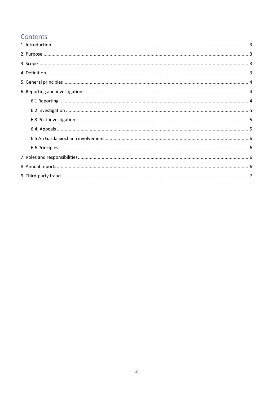# Contents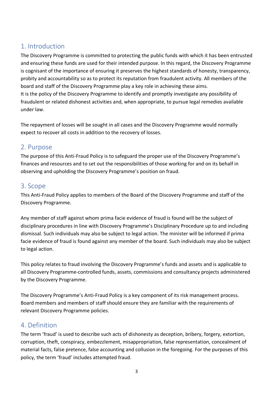# <span id="page-2-0"></span>1. Introduction

The Discovery Programme is committed to protecting the public funds with which it has been entrusted and ensuring these funds are used for their intended purpose. In this regard, the Discovery Programme is cognisant of the importance of ensuring it preserves the highest standards of honesty, transparency, probity and accountability so as to protect its reputation from fraudulent activity. All members of the board and staff of the Discovery Programme play a key role in achieving these aims. It is the policy of the Discovery Programme to identify and promptly investigate any possibility of fraudulent or related dishonest activities and, when appropriate, to pursue legal remedies available under law.

The repayment of losses will be sought in all cases and the Discovery Programme would normally expect to recover all costs in addition to the recovery of losses.

# <span id="page-2-1"></span>2. Purpose

The purpose of this Anti-Fraud Policy is to safeguard the proper use of the Discovery Programme's finances and resources and to set out the responsibilities of those working for and on its behalf in observing and upholding the Discovery Programme's position on fraud.

# <span id="page-2-2"></span>3. Scope

This Anti-Fraud Policy applies to members of the Board of the Discovery Programme and staff of the Discovery Programme.

Any member of staff against whom prima facie evidence of fraud is found will be the subject of disciplinary procedures in line with Discovery Programme's Disciplinary Procedure up to and including dismissal. Such individuals may also be subject to legal action. The minister will be informed if prima facie evidence of fraud is found against any member of the board. Such individuals may also be subject to legal action.

This policy relates to fraud involving the Discovery Programme's funds and assets and is applicable to all Discovery Programme-controlled funds, assets, commissions and consultancy projects administered by the Discovery Programme.

The Discovery Programme's Anti-Fraud Policy is a key component of its risk management process. Board members and members of staff should ensure they are familiar with the requirements of relevant Discovery Programme policies.

# <span id="page-2-3"></span>4. Definition

The term 'fraud' is used to describe such acts of dishonesty as deception, bribery, forgery, extortion, corruption, theft, conspiracy, embezzlement, misappropriation, false representation, concealment of material facts, false pretence, false accounting and collusion in the foregoing. For the purposes of this policy, the term 'fraud' includes attempted fraud.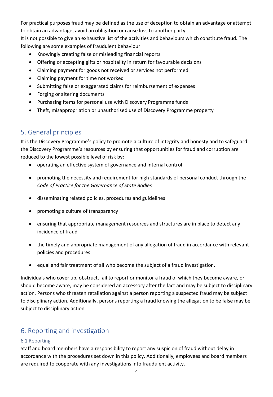For practical purposes fraud may be defined as the use of deception to obtain an advantage or attempt to obtain an advantage, avoid an obligation or cause loss to another party.

It is not possible to give an exhaustive list of the activities and behaviours which constitute fraud. The following are some examples of fraudulent behaviour:

- Knowingly creating false or misleading financial reports
- Offering or accepting gifts or hospitality in return for favourable decisions
- Claiming payment for goods not received or services not performed
- Claiming payment for time not worked
- Submitting false or exaggerated claims for reimbursement of expenses
- Forging or altering documents
- Purchasing items for personal use with Discovery Programme funds
- Theft, misappropriation or unauthorised use of Discovery Programme property

# <span id="page-3-0"></span>5. General principles

It is the Discovery Programme's policy to promote a culture of integrity and honesty and to safeguard the Discovery Programme's resources by ensuring that opportunities for fraud and corruption are reduced to the lowest possible level of risk by:

- operating an effective system of governance and internal control
- promoting the necessity and requirement for high standards of personal conduct through the *Code of Practice for the Governance of State Bodies*
- disseminating related policies, procedures and guidelines
- promoting a culture of transparency
- ensuring that appropriate management resources and structures are in place to detect any incidence of fraud
- the timely and appropriate management of any allegation of fraud in accordance with relevant policies and procedures
- equal and fair treatment of all who become the subject of a fraud investigation.

Individuals who cover up, obstruct, fail to report or monitor a fraud of which they become aware, or should become aware, may be considered an accessory after the fact and may be subject to disciplinary action. Persons who threaten retaliation against a person reporting a suspected fraud may be subject to disciplinary action. Additionally, persons reporting a fraud knowing the allegation to be false may be subject to disciplinary action.

# <span id="page-3-1"></span>6. Reporting and investigation

#### <span id="page-3-2"></span>6.1 Reporting

Staff and board members have a responsibility to report any suspicion of fraud without delay in accordance with the procedures set down in this policy. Additionally, employees and board members are required to cooperate with any investigations into fraudulent activity.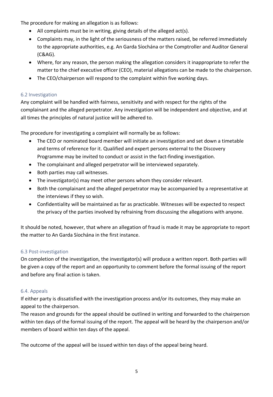The procedure for making an allegation is as follows:

- All complaints must be in writing, giving details of the alleged act(s).
- Complaints may, in the light of the seriousness of the matters raised, be referred immediately to the appropriate authorities, e.g. An Garda Síochána or the Comptroller and Auditor General (C&AG).
- Where, for any reason, the person making the allegation considers it inappropriate to refer the matter to the chief executive officer (CEO), material allegations can be made to the chairperson.
- The CEO/chairperson will respond to the complaint within five working days.

#### <span id="page-4-0"></span>6.2 Investigation

Any complaint will be handled with fairness, sensitivity and with respect for the rights of the complainant and the alleged perpetrator. Any investigation will be independent and objective, and at all times the principles of natural justice will be adhered to.

The procedure for investigating a complaint will normally be as follows:

- The CEO or nominated board member will initiate an investigation and set down a timetable and terms of reference for it. Qualified and expert persons external to the Discovery Programme may be invited to conduct or assist in the fact-finding investigation.
- The complainant and alleged perpetrator will be interviewed separately.
- Both parties may call witnesses.
- The investigator(s) may meet other persons whom they consider relevant.
- Both the complainant and the alleged perpetrator may be accompanied by a representative at the interviews if they so wish.
- Confidentiality will be maintained as far as practicable. Witnesses will be expected to respect the privacy of the parties involved by refraining from discussing the allegations with anyone.

It should be noted, however, that where an allegation of fraud is made it may be appropriate to report the matter to An Garda Síochána in the first instance.

#### <span id="page-4-1"></span>6.3 Post-investigation

On completion of the investigation, the investigator(s) will produce a written report. Both parties will be given a copy of the report and an opportunity to comment before the formal issuing of the report and before any final action is taken.

#### <span id="page-4-2"></span>6.4. Appeals

If either party is dissatisfied with the investigation process and/or its outcomes, they may make an appeal to the chairperson.

The reason and grounds for the appeal should be outlined in writing and forwarded to the chairperson within ten days of the formal issuing of the report. The appeal will be heard by the chairperson and/or members of board within ten days of the appeal.

The outcome of the appeal will be issued within ten days of the appeal being heard.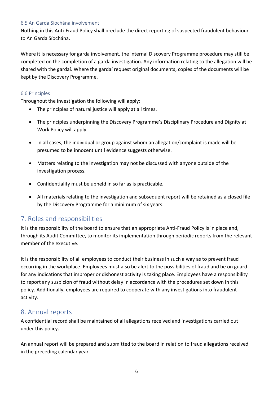#### <span id="page-5-0"></span>6.5 An Garda Síochána involvement

Nothing in this Anti-Fraud Policy shall preclude the direct reporting of suspected fraudulent behaviour to An Garda Síochána.

Where it is necessary for garda involvement, the internal Discovery Programme procedure may still be completed on the completion of a garda investigation. Any information relating to the allegation will be shared with the gardaí. Where the gardaí request original documents, copies of the documents will be kept by the Discovery Programme.

#### <span id="page-5-1"></span>6.6 Principles

Throughout the investigation the following will apply:

- The principles of natural justice will apply at all times.
- The principles underpinning the Discovery Programme's Disciplinary Procedure and Dignity at Work Policy will apply.
- In all cases, the individual or group against whom an allegation/complaint is made will be presumed to be innocent until evidence suggests otherwise.
- Matters relating to the investigation may not be discussed with anyone outside of the investigation process.
- Confidentiality must be upheld in so far as is practicable.
- All materials relating to the investigation and subsequent report will be retained as a closed file by the Discovery Programme for a minimum of six years.

# <span id="page-5-2"></span>7. Roles and responsibilities

It is the responsibility of the board to ensure that an appropriate Anti-Fraud Policy is in place and, through its Audit Committee, to monitor its implementation through periodic reports from the relevant member of the executive.

It is the responsibility of all employees to conduct their business in such a way as to prevent fraud occurring in the workplace. Employees must also be alert to the possibilities of fraud and be on guard for any indications that improper or dishonest activity is taking place. Employees have a responsibility to report any suspicion of fraud without delay in accordance with the procedures set down in this policy. Additionally, employees are required to cooperate with any investigations into fraudulent activity.

# <span id="page-5-3"></span>8. Annual reports

A confidential record shall be maintained of all allegations received and investigations carried out under this policy.

An annual report will be prepared and submitted to the board in relation to fraud allegations received in the preceding calendar year.